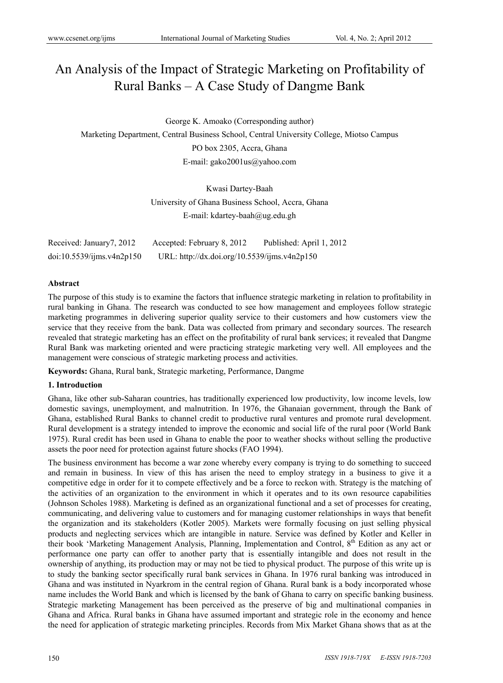# An Analysis of the Impact of Strategic Marketing on Profitability of Rural Banks – A Case Study of Dangme Bank

George K. Amoako (Corresponding author)

Marketing Department, Central Business School, Central University College, Miotso Campus

PO box 2305, Accra, Ghana

E-mail: gako2001us@yahoo.com

Kwasi Dartey-Baah University of Ghana Business School, Accra, Ghana E-mail: kdartey-baah@ug.edu.gh

Received: January7, 2012 Accepted: February 8, 2012 Published: April 1, 2012 doi:10.5539/ijms.v4n2p150 URL: http://dx.doi.org/10.5539/ijms.v4n2p150

## **Abstract**

The purpose of this study is to examine the factors that influence strategic marketing in relation to profitability in rural banking in Ghana. The research was conducted to see how management and employees follow strategic marketing programmes in delivering superior quality service to their customers and how customers view the service that they receive from the bank. Data was collected from primary and secondary sources. The research revealed that strategic marketing has an effect on the profitability of rural bank services; it revealed that Dangme Rural Bank was marketing oriented and were practicing strategic marketing very well. All employees and the management were conscious of strategic marketing process and activities.

**Keywords:** Ghana, Rural bank, Strategic marketing, Performance, Dangme

#### **1. Introduction**

Ghana, like other sub-Saharan countries, has traditionally experienced low productivity, low income levels, low domestic savings, unemployment, and malnutrition. In 1976, the Ghanaian government, through the Bank of Ghana, established Rural Banks to channel credit to productive rural ventures and promote rural development. Rural development is a strategy intended to improve the economic and social life of the rural poor (World Bank 1975). Rural credit has been used in Ghana to enable the poor to weather shocks without selling the productive assets the poor need for protection against future shocks (FAO 1994).

The business environment has become a war zone whereby every company is trying to do something to succeed and remain in business. In view of this has arisen the need to employ strategy in a business to give it a competitive edge in order for it to compete effectively and be a force to reckon with. Strategy is the matching of the activities of an organization to the environment in which it operates and to its own resource capabilities (Johnson Scholes 1988). Marketing is defined as an organizational functional and a set of processes for creating, communicating, and delivering value to customers and for managing customer relationships in ways that benefit the organization and its stakeholders (Kotler 2005). Markets were formally focusing on just selling physical products and neglecting services which are intangible in nature. Service was defined by Kotler and Keller in their book 'Marketing Management Analysis, Planning, Implementation and Control, 8<sup>th</sup> Edition as any act or performance one party can offer to another party that is essentially intangible and does not result in the ownership of anything, its production may or may not be tied to physical product. The purpose of this write up is to study the banking sector specifically rural bank services in Ghana. In 1976 rural banking was introduced in Ghana and was instituted in Nyarkrom in the central region of Ghana. Rural bank is a body incorporated whose name includes the World Bank and which is licensed by the bank of Ghana to carry on specific banking business. Strategic marketing Management has been perceived as the preserve of big and multinational companies in Ghana and Africa. Rural banks in Ghana have assumed important and strategic role in the economy and hence the need for application of strategic marketing principles. Records from Mix Market Ghana shows that as at the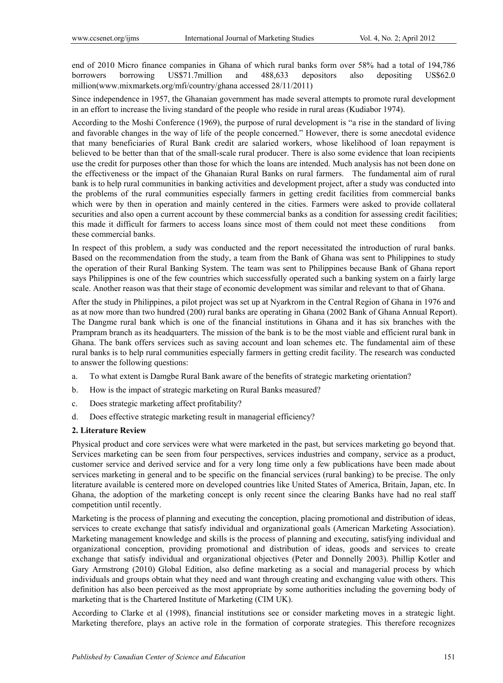end of 2010 Micro finance companies in Ghana of which rural banks form over 58% had a total of 194,786 borrowers borrowing US\$71.7million and 488,633 depositors also depositing US\$62.0 million(www.mixmarkets.org/mfi/country/ghana accessed 28/11/2011)

Since independence in 1957, the Ghanaian government has made several attempts to promote rural development in an effort to increase the living standard of the people who reside in rural areas (Kudiabor 1974).

According to the Moshi Conference (1969), the purpose of rural development is "a rise in the standard of living and favorable changes in the way of life of the people concerned." However, there is some anecdotal evidence that many beneficiaries of Rural Bank credit are salaried workers, whose likelihood of loan repayment is believed to be better than that of the small-scale rural producer. There is also some evidence that loan recipients use the credit for purposes other than those for which the loans are intended. Much analysis has not been done on the effectiveness or the impact of the Ghanaian Rural Banks on rural farmers. The fundamental aim of rural bank is to help rural communities in banking activities and development project, after a study was conducted into the problems of the rural communities especially farmers in getting credit facilities from commercial banks which were by then in operation and mainly centered in the cities. Farmers were asked to provide collateral securities and also open a current account by these commercial banks as a condition for assessing credit facilities; this made it difficult for farmers to access loans since most of them could not meet these conditions from these commercial banks.

In respect of this problem, a sudy was conducted and the report necessitated the introduction of rural banks. Based on the recommendation from the study, a team from the Bank of Ghana was sent to Philippines to study the operation of their Rural Banking System. The team was sent to Philippines because Bank of Ghana report says Philippines is one of the few countries which successfully operated such a banking system on a fairly large scale. Another reason was that their stage of economic development was similar and relevant to that of Ghana.

After the study in Philippines, a pilot project was set up at Nyarkrom in the Central Region of Ghana in 1976 and as at now more than two hundred (200) rural banks are operating in Ghana (2002 Bank of Ghana Annual Report). The Dangme rural bank which is one of the financial institutions in Ghana and it has six branches with the Prampram branch as its headquarters. The mission of the bank is to be the most viable and efficient rural bank in Ghana. The bank offers services such as saving account and loan schemes etc. The fundamental aim of these rural banks is to help rural communities especially farmers in getting credit facility. The research was conducted to answer the following questions:

- a. To what extent is Damgbe Rural Bank aware of the benefits of strategic marketing orientation?
- b. How is the impact of strategic marketing on Rural Banks measured?
- c. Does strategic marketing affect profitability?
- d. Does effective strategic marketing result in managerial efficiency?

#### **2. Literature Review**

Physical product and core services were what were marketed in the past, but services marketing go beyond that. Services marketing can be seen from four perspectives, services industries and company, service as a product, customer service and derived service and for a very long time only a few publications have been made about services marketing in general and to be specific on the financial services (rural banking) to be precise. The only literature available is centered more on developed countries like United States of America, Britain, Japan, etc. In Ghana, the adoption of the marketing concept is only recent since the clearing Banks have had no real staff competition until recently.

Marketing is the process of planning and executing the conception, placing promotional and distribution of ideas, services to create exchange that satisfy individual and organizational goals (American Marketing Association). Marketing management knowledge and skills is the process of planning and executing, satisfying individual and organizational conception, providing promotional and distribution of ideas, goods and services to create exchange that satisfy individual and organizational objectives (Peter and Donnelly 2003). Phillip Kotler and Gary Armstrong (2010) Global Edition, also define marketing as a social and managerial process by which individuals and groups obtain what they need and want through creating and exchanging value with others. This definition has also been perceived as the most appropriate by some authorities including the governing body of marketing that is the Chartered Institute of Marketing (CIM UK).

According to Clarke et al (1998), financial institutions see or consider marketing moves in a strategic light. Marketing therefore, plays an active role in the formation of corporate strategies. This therefore recognizes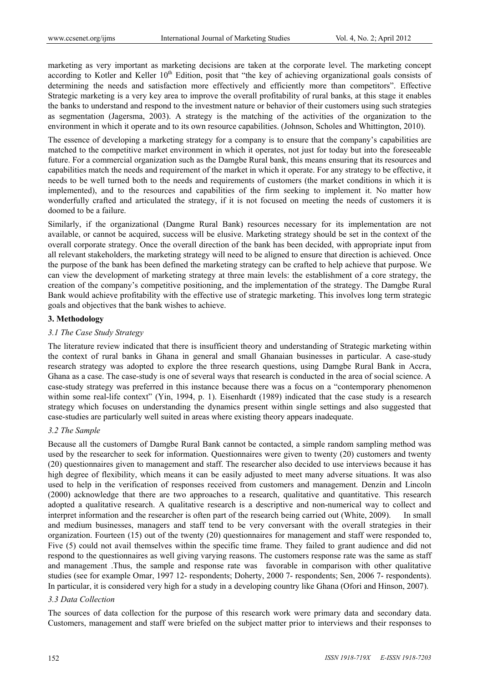marketing as very important as marketing decisions are taken at the corporate level. The marketing concept according to Kotler and Keller  $10<sup>th</sup>$  Edition, posit that "the key of achieving organizational goals consists of determining the needs and satisfaction more effectively and efficiently more than competitors". Effective Strategic marketing is a very key area to improve the overall profitability of rural banks, at this stage it enables the banks to understand and respond to the investment nature or behavior of their customers using such strategies as segmentation (Jagersma, 2003). A strategy is the matching of the activities of the organization to the environment in which it operate and to its own resource capabilities. (Johnson, Scholes and Whittington, 2010).

The essence of developing a marketing strategy for a company is to ensure that the company's capabilities are matched to the competitive market environment in which it operates, not just for today but into the foreseeable future. For a commercial organization such as the Damgbe Rural bank, this means ensuring that its resources and capabilities match the needs and requirement of the market in which it operate. For any strategy to be effective, it needs to be well turned both to the needs and requirements of customers (the market conditions in which it is implemented), and to the resources and capabilities of the firm seeking to implement it. No matter how wonderfully crafted and articulated the strategy, if it is not focused on meeting the needs of customers it is doomed to be a failure.

Similarly, if the organizational (Dangme Rural Bank) resources necessary for its implementation are not available, or cannot be acquired, success will be elusive. Marketing strategy should be set in the context of the overall corporate strategy. Once the overall direction of the bank has been decided, with appropriate input from all relevant stakeholders, the marketing strategy will need to be aligned to ensure that direction is achieved. Once the purpose of the bank has been defined the marketing strategy can be crafted to help achieve that purpose. We can view the development of marketing strategy at three main levels: the establishment of a core strategy, the creation of the company's competitive positioning, and the implementation of the strategy. The Damgbe Rural Bank would achieve profitability with the effective use of strategic marketing. This involves long term strategic goals and objectives that the bank wishes to achieve.

## **3. Methodology**

## *3.1 The Case Study Strategy*

The literature review indicated that there is insufficient theory and understanding of Strategic marketing within the context of rural banks in Ghana in general and small Ghanaian businesses in particular. A case-study research strategy was adopted to explore the three research questions, using Damgbe Rural Bank in Accra, Ghana as a case. The case-study is one of several ways that research is conducted in the area of social science. A case-study strategy was preferred in this instance because there was a focus on a "contemporary phenomenon within some real-life context" (Yin, 1994, p. 1). Eisenhardt (1989) indicated that the case study is a research strategy which focuses on understanding the dynamics present within single settings and also suggested that case-studies are particularly well suited in areas where existing theory appears inadequate.

#### *3.2 The Sample*

Because all the customers of Damgbe Rural Bank cannot be contacted, a simple random sampling method was used by the researcher to seek for information. Questionnaires were given to twenty (20) customers and twenty (20) questionnaires given to management and staff. The researcher also decided to use interviews because it has high degree of flexibility, which means it can be easily adjusted to meet many adverse situations. It was also used to help in the verification of responses received from customers and management. Denzin and Lincoln (2000) acknowledge that there are two approaches to a research, qualitative and quantitative. This research adopted a qualitative research. A qualitative research is a descriptive and non-numerical way to collect and interpret information and the researcher is often part of the research being carried out (White, 2009). In small and medium businesses, managers and staff tend to be very conversant with the overall strategies in their organization. Fourteen (15) out of the twenty (20) questionnaires for management and staff were responded to, Five (5) could not avail themselves within the specific time frame. They failed to grant audience and did not respond to the questionnaires as well giving varying reasons. The customers response rate was the same as staff and management .Thus, the sample and response rate was favorable in comparison with other qualitative studies (see for example Omar, 1997 12- respondents; Doherty, 2000 7- respondents; Sen, 2006 7- respondents). In particular, it is considered very high for a study in a developing country like Ghana (Ofori and Hinson, 2007).

## *3.3 Data Collection*

The sources of data collection for the purpose of this research work were primary data and secondary data. Customers, management and staff were briefed on the subject matter prior to interviews and their responses to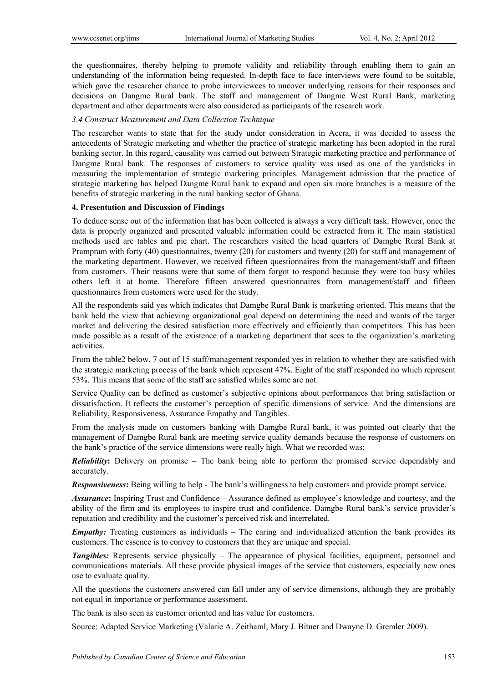the questionnaires, thereby helping to promote validity and reliability through enabling them to gain an understanding of the information being requested. In-depth face to face interviews were found to be suitable, which gave the researcher chance to probe interviewees to uncover underlying reasons for their responses and decisions on Dangme Rural bank. The staff and management of Dangme West Rural Bank, marketing department and other departments were also considered as participants of the research work.

## *3.4 Construct Measurement and Data Collection Technique*

The researcher wants to state that for the study under consideration in Accra, it was decided to assess the antecedents of Strategic marketing and whether the practice of strategic marketing has been adopted in the rural banking sector. In this regard, causality was carried out between Strategic marketing practice and performance of Dangme Rural bank. The responses of customers to service quality was used as one of the yardsticks in measuring the implementation of strategic marketing principles. Management admission that the practice of strategic marketing has helped Dangme Rural bank to expand and open six more branches is a measure of the benefits of strategic marketing in the rural banking sector of Ghana.

# **4. Presentation and Discussion of Findings**

To deduce sense out of the information that has been collected is always a very difficult task. However, once the data is properly organized and presented valuable information could be extracted from it. The main statistical methods used are tables and pie chart. The researchers visited the head quarters of Damgbe Rural Bank at Prampram with forty (40) questionnaires, twenty (20) for customers and twenty (20) for staff and management of the marketing department. However, we received fifteen questionnaires from the management/staff and fifteen from customers. Their reasons were that some of them forgot to respond because they were too busy whiles others left it at home. Therefore fifteen answered questionnaires from management/staff and fifteen questionnaires from customers were used for the study.

All the respondents said yes which indicates that Damgbe Rural Bank is marketing oriented. This means that the bank held the view that achieving organizational goal depend on determining the need and wants of the target market and delivering the desired satisfaction more effectively and efficiently than competitors. This has been made possible as a result of the existence of a marketing department that sees to the organization's marketing activities.

From the table2 below, 7 out of 15 staff/management responded yes in relation to whether they are satisfied with the strategic marketing process of the bank which represent 47%. Eight of the staff responded no which represent 53%. This means that some of the staff are satisfied whiles some are not.

Service Quality can be defined as customer's subjective opinions about performances that bring satisfaction or dissatisfaction. It reflects the customer's perception of specific dimensions of service. And the dimensions are Reliability, Responsiveness, Assurance Empathy and Tangibles.

From the analysis made on customers banking with Damgbe Rural bank, it was pointed out clearly that the management of Damgbe Rural bank are meeting service quality demands because the response of customers on the bank's practice of the service dimensions were really high. What we recorded was;

*Reliability***:** Delivery on promise – The bank being able to perform the promised service dependably and accurately.

*Responsiveness***:** Being willing to help - The bank's willingness to help customers and provide prompt service.

*Assurance***:** Inspiring Trust and Confidence – Assurance defined as employee's knowledge and courtesy, and the ability of the firm and its employees to inspire trust and confidence. Damgbe Rural bank's service provider's reputation and credibility and the customer's perceived risk and interrelated.

*Empathy:* Treating customers as individuals – The caring and individualized attention the bank provides its customers. The essence is to convey to customers that they are unique and special.

*Tangibles:* Represents service physically – The appearance of physical facilities, equipment, personnel and communications materials. All these provide physical images of the service that customers, especially new ones use to evaluate quality.

All the questions the customers answered can fall under any of service dimensions, although they are probably not equal in importance or performance assessment.

The bank is also seen as customer oriented and has value for customers.

Source: Adapted Service Marketing (Valarie A. Zeithaml, Mary J. Bitner and Dwayne D. Gremler 2009).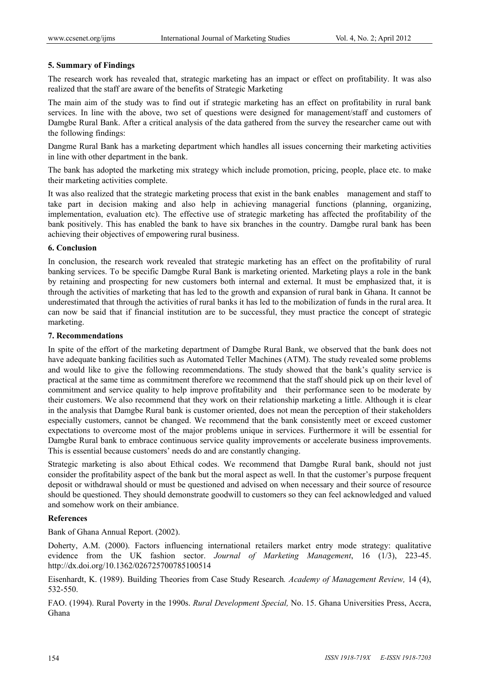## **5. Summary of Findings**

The research work has revealed that, strategic marketing has an impact or effect on profitability. It was also realized that the staff are aware of the benefits of Strategic Marketing

The main aim of the study was to find out if strategic marketing has an effect on profitability in rural bank services. In line with the above, two set of questions were designed for management/staff and customers of Damgbe Rural Bank. After a critical analysis of the data gathered from the survey the researcher came out with the following findings:

Dangme Rural Bank has a marketing department which handles all issues concerning their marketing activities in line with other department in the bank.

The bank has adopted the marketing mix strategy which include promotion, pricing, people, place etc. to make their marketing activities complete.

It was also realized that the strategic marketing process that exist in the bank enables management and staff to take part in decision making and also help in achieving managerial functions (planning, organizing, implementation, evaluation etc). The effective use of strategic marketing has affected the profitability of the bank positively. This has enabled the bank to have six branches in the country. Damgbe rural bank has been achieving their objectives of empowering rural business.

## **6. Conclusion**

In conclusion, the research work revealed that strategic marketing has an effect on the profitability of rural banking services. To be specific Damgbe Rural Bank is marketing oriented. Marketing plays a role in the bank by retaining and prospecting for new customers both internal and external. It must be emphasized that, it is through the activities of marketing that has led to the growth and expansion of rural bank in Ghana. It cannot be underestimated that through the activities of rural banks it has led to the mobilization of funds in the rural area. It can now be said that if financial institution are to be successful, they must practice the concept of strategic marketing.

# **7. Recommendations**

In spite of the effort of the marketing department of Damgbe Rural Bank, we observed that the bank does not have adequate banking facilities such as Automated Teller Machines (ATM). The study revealed some problems and would like to give the following recommendations. The study showed that the bank's quality service is practical at the same time as commitment therefore we recommend that the staff should pick up on their level of commitment and service quality to help improve profitability and their performance seen to be moderate by their customers. We also recommend that they work on their relationship marketing a little. Although it is clear in the analysis that Damgbe Rural bank is customer oriented, does not mean the perception of their stakeholders especially customers, cannot be changed. We recommend that the bank consistently meet or exceed customer expectations to overcome most of the major problems unique in services. Furthermore it will be essential for Damgbe Rural bank to embrace continuous service quality improvements or accelerate business improvements. This is essential because customers' needs do and are constantly changing.

Strategic marketing is also about Ethical codes. We recommend that Damgbe Rural bank, should not just consider the profitability aspect of the bank but the moral aspect as well. In that the customer's purpose frequent deposit or withdrawal should or must be questioned and advised on when necessary and their source of resource should be questioned. They should demonstrate goodwill to customers so they can feel acknowledged and valued and somehow work on their ambiance.

## **References**

Bank of Ghana Annual Report. (2002).

Doherty, A.M. (2000). Factors influencing international retailers market entry mode strategy: qualitative evidence from the UK fashion sector. *Journal of Marketing Management*, 16 (1/3), 223-45. http://dx.doi.org/10.1362/026725700785100514

Eisenhardt, K. (1989). Building Theories from Case Study Research*. Academy of Management Review,* 14 (4), 532-550.

FAO. (1994). Rural Poverty in the 1990s. *Rural Development Special,* No. 15. Ghana Universities Press, Accra, Ghana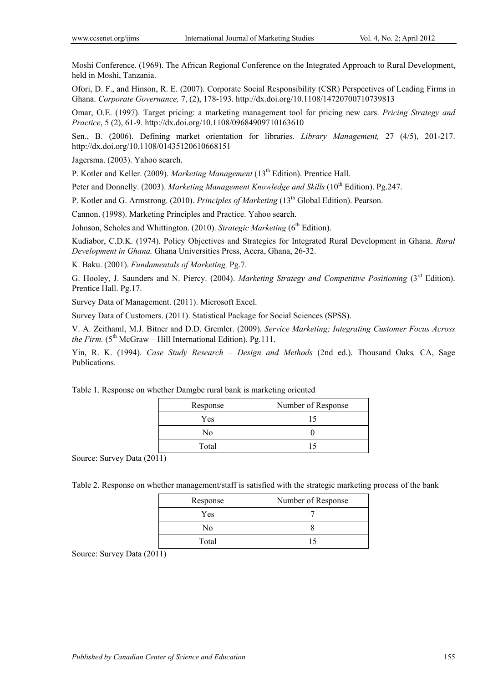Moshi Conference. (1969). The African Regional Conference on the Integrated Approach to Rural Development, held in Moshi, Tanzania.

Ofori, D. F., and Hinson, R. E. (2007). Corporate Social Responsibility (CSR) Perspectives of Leading Firms in Ghana. *Corporate Governance,* 7, (2), 178-193. http://dx.doi.org/10.1108/14720700710739813

Omar, O.E. (1997). Target pricing: a marketing management tool for pricing new cars. *Pricing Strategy and Practice*, 5 (2), 61-9. http://dx.doi.org/10.1108/09684909710163610

Sen., B. (2006). Defining market orientation for libraries. *Library Management,* 27 (4/5), 201-217. http://dx.doi.org/10.1108/01435120610668151

Jagersma. (2003). Yahoo search.

P. Kotler and Keller. (2009). *Marketing Management* (13<sup>th</sup> Edition). Prentice Hall.

Peter and Donnelly. (2003). *Marketing Management Knowledge and Skills* (10<sup>th</sup> Edition). Pg.247.

P. Kotler and G. Armstrong. (2010). *Principles of Marketing* (13<sup>th</sup> Global Edition). Pearson.

Cannon. (1998). Marketing Principles and Practice. Yahoo search.

Johnson, Scholes and Whittington. (2010). *Strategic Marketing* (6<sup>th</sup> Edition).

Kudiabor, C.D.K. (1974). Policy Objectives and Strategies for Integrated Rural Development in Ghana. *Rural Development in Ghana.* Ghana Universities Press, Accra, Ghana, 26-32.

K. Baku. (2001). *Fundamentals of Marketing,* Pg.7.

G. Hooley, J. Saunders and N. Piercy. (2004). *Marketing Strategy and Competitive Positioning* (3rd Edition). Prentice Hall. Pg.17.

Survey Data of Management. (2011). Microsoft Excel.

Survey Data of Customers. (2011). Statistical Package for Social Sciences (SPSS).

V. A. Zeithaml, M.J. Bitner and D.D. Gremler. (2009). *Service Marketing; Integrating Customer Focus Across the Firm.*  $(5^{th} \text{McGraw} - \text{Hill International Edition})$ . Pg.111.

Yin, R. K. (1994). *Case Study Research – Design and Methods* (2nd ed.). Thousand Oaks*,* CA, Sage Publications.

| Table 1. Response on whether Damgbe rural bank is marketing oriented |  |  |  |  |
|----------------------------------------------------------------------|--|--|--|--|
|----------------------------------------------------------------------|--|--|--|--|

| Response | Number of Response |
|----------|--------------------|
| Yes      |                    |
| No       |                    |
| Total    |                    |

Source: Survey Data (2011)

Table 2. Response on whether management/staff is satisfied with the strategic marketing process of the bank

| Response | Number of Response |
|----------|--------------------|
| Yes      |                    |
| No       |                    |
| Total    |                    |

Source: Survey Data (2011)